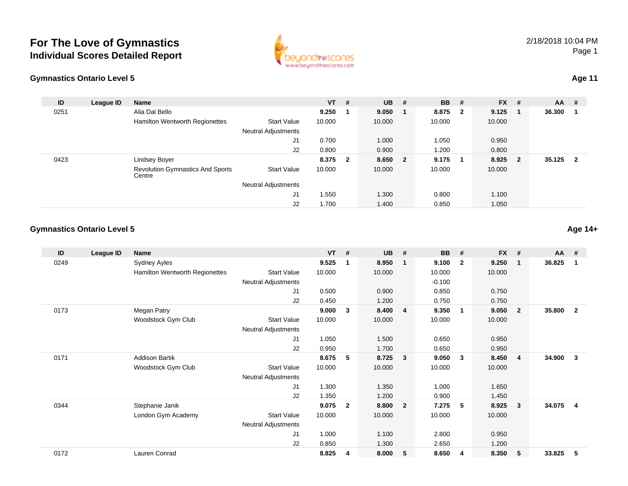

| astics Ontario Level 5 |           |                                                   |                            |           |                         |           |                |             |              |         |     |          |  | <b>Age 11</b> |
|------------------------|-----------|---------------------------------------------------|----------------------------|-----------|-------------------------|-----------|----------------|-------------|--------------|---------|-----|----------|--|---------------|
| ID                     | League ID | Name                                              |                            | <b>VT</b> | #                       | <b>UB</b> | #              | <b>BB</b> # |              | $FX$ #  |     | $AA$ #   |  |               |
| 0251                   |           | Alia Dal Bello                                    |                            | 9.250     | $\overline{\mathbf{1}}$ | 9.050     | -1             | 8.875       | $\mathbf{2}$ | 9.125   | - 1 | 36.300   |  |               |
|                        |           | Hamilton Wentworth Regionettes                    | <b>Start Value</b>         | 10.000    |                         | 10.000    |                | 10.000      |              | 10.000  |     |          |  |               |
|                        |           |                                                   | <b>Neutral Adjustments</b> |           |                         |           |                |             |              |         |     |          |  |               |
|                        |           |                                                   | J1                         | 0.700     |                         | 1.000     |                | 1.050       |              | 0.950   |     |          |  |               |
|                        |           |                                                   | J2                         | 0.800     |                         | 0.900     |                | 1.200       |              | 0.800   |     |          |  |               |
| 0423                   |           | Lindsey Boyer                                     |                            | 8.375     | $\overline{\mathbf{2}}$ | 8.650     | $\overline{2}$ | 9.175       | 1            | 8.925 2 |     | 35.125 2 |  |               |
|                        |           | <b>Revolution Gymnastics And Sports</b><br>Centre | <b>Start Value</b>         | 10.000    |                         | 10.000    |                | 10.000      |              | 10.000  |     |          |  |               |
|                        |           |                                                   | <b>Neutral Adjustments</b> |           |                         |           |                |             |              |         |     |          |  |               |
|                        |           |                                                   | J1                         | 1.550     |                         | 1.300     |                | 0.800       |              | 1.100   |     |          |  |               |
|                        |           |                                                   | J2                         | 1.700     |                         | 1.400     |                | 0.850       |              | 1.050   |     |          |  |               |

ww.beyondthescores.com

#### **Gymnastics Ontario Level 5**

| ID   | League ID | <b>Name</b>                    |                            | <b>VT</b> | #            | <b>UB</b> | #              | <b>BB</b> | #              | <b>FX</b> | #              | <b>AA</b> | #                       |
|------|-----------|--------------------------------|----------------------------|-----------|--------------|-----------|----------------|-----------|----------------|-----------|----------------|-----------|-------------------------|
| 0249 |           | Sydney Ayles                   |                            | 9.525     | 1            | 8.950     | -1             | 9.100     | $\overline{2}$ | 9.250     | $\mathbf 1$    | 36.825    | -1                      |
|      |           | Hamilton Wentworth Regionettes | <b>Start Value</b>         | 10.000    |              | 10.000    |                | 10.000    |                | 10.000    |                |           |                         |
|      |           |                                | Neutral Adjustments        |           |              |           |                | $-0.100$  |                |           |                |           |                         |
|      |           |                                | J1                         | 0.500     |              | 0.900     |                | 0.850     |                | 0.750     |                |           |                         |
|      |           |                                | J2                         | 0.450     |              | 1.200     |                | 0.750     |                | 0.750     |                |           |                         |
| 0173 |           | Megan Patry                    |                            | 9.000     | 3            | 8.400     | $\overline{4}$ | 9.350     | $\overline{1}$ | 9.050     | $\overline{2}$ | 35.800    | $\overline{2}$          |
|      |           | Woodstock Gym Club             | <b>Start Value</b>         | 10.000    |              | 10.000    |                | 10.000    |                | 10.000    |                |           |                         |
|      |           |                                | Neutral Adjustments        |           |              |           |                |           |                |           |                |           |                         |
|      |           |                                | J <sub>1</sub>             | 1.050     |              | 1.500     |                | 0.650     |                | 0.950     |                |           |                         |
|      |           |                                | J <sub>2</sub>             | 0.950     |              | 1.700     |                | 0.650     |                | 0.950     |                |           |                         |
| 0171 |           | <b>Addison Bartik</b>          |                            | 8.675     | 5            | 8.725     | 3              | 9.050     | $\mathbf{3}$   | 8.450     | -4             | 34.900    | 3                       |
|      |           | Woodstock Gym Club             | <b>Start Value</b>         | 10.000    |              | 10.000    |                | 10.000    |                | 10.000    |                |           |                         |
|      |           |                                | <b>Neutral Adjustments</b> |           |              |           |                |           |                |           |                |           |                         |
|      |           |                                | J1                         | 1.300     |              | 1.350     |                | 1.000     |                | 1.650     |                |           |                         |
|      |           |                                | J2                         | 1.350     |              | 1.200     |                | 0.900     |                | 1.450     |                |           |                         |
| 0344 |           | Stephanie Janik                |                            | 9.075     | $\mathbf{2}$ | 8.800     | $\overline{2}$ | 7.275     | 5              | 8.925     | 3              | 34.075    | $\overline{\mathbf{4}}$ |
|      |           | London Gym Academy             | <b>Start Value</b>         | 10.000    |              | 10.000    |                | 10.000    |                | 10.000    |                |           |                         |
|      |           |                                | Neutral Adjustments        |           |              |           |                |           |                |           |                |           |                         |
|      |           |                                | J1                         | 1.000     |              | 1.100     |                | 2.800     |                | 0.950     |                |           |                         |
|      |           |                                | J2                         | 0.850     |              | 1.300     |                | 2.650     |                | 1.200     |                |           |                         |
| 0172 |           | Lauren Conrad                  |                            | 8.825     | 4            | 8.000     | 5              | 8.650     | 4              | 8.350     | 5              | 33.825    | 5                       |
|      |           |                                |                            |           |              |           |                |           |                |           |                |           |                         |

2/18/2018 10:04 PMPage 1

**Age 14+**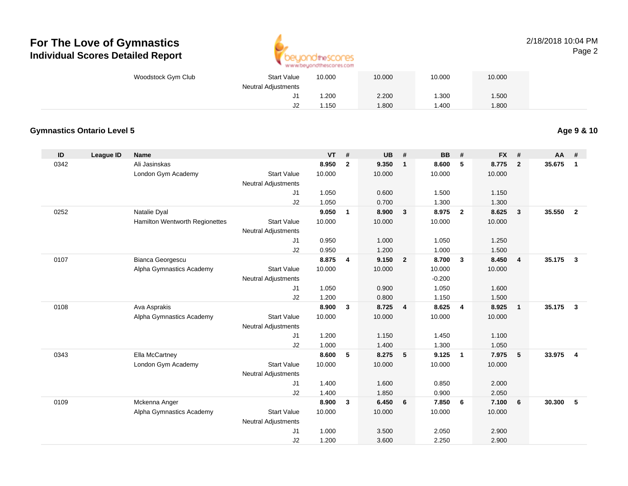

#### 2/18/2018 10:04 PMPage 2

| Woodstock Gym Club | <b>Start Value</b>                | 10.000 | 10.000 | 10.000 | 10.000 |  |
|--------------------|-----------------------------------|--------|--------|--------|--------|--|
|                    | <b>Neutral Adjustments</b><br>ັບເ | .200   | 2.200  | .300   | .500   |  |
|                    | J2                                | .150   | 008.1  | .400   | .800   |  |

#### **Gymnastics Ontario Level 5**

**Age 9 & 10**

| ID   | <b>League ID</b> | <b>Name</b>                    |                            | <b>VT</b> | #              | <b>UB</b> | #              | <b>BB</b> | #              | <b>FX</b> | #                       | <b>AA</b> | #              |
|------|------------------|--------------------------------|----------------------------|-----------|----------------|-----------|----------------|-----------|----------------|-----------|-------------------------|-----------|----------------|
| 0342 |                  | Ali Jasinskas                  |                            | 8.950     | $\overline{2}$ | 9.350     | $\mathbf{1}$   | 8.600     | 5              | 8.775     | $\overline{2}$          | 35.675    | $\mathbf{1}$   |
|      |                  | London Gym Academy             | <b>Start Value</b>         | 10.000    |                | 10.000    |                | 10.000    |                | 10.000    |                         |           |                |
|      |                  |                                | <b>Neutral Adjustments</b> |           |                |           |                |           |                |           |                         |           |                |
|      |                  |                                | J1                         | 1.050     |                | 0.600     |                | 1.500     |                | 1.150     |                         |           |                |
|      |                  |                                | J2                         | 1.050     |                | 0.700     |                | 1.300     |                | 1.300     |                         |           |                |
| 0252 |                  | Natalie Dyal                   |                            | 9.050     | $\mathbf{1}$   | 8.900     | $\mathbf{3}$   | 8.975     | $\overline{2}$ | 8.625     | $\overline{\mathbf{3}}$ | 35.550    | $\overline{2}$ |
|      |                  | Hamilton Wentworth Regionettes | <b>Start Value</b>         | 10.000    |                | 10.000    |                | 10.000    |                | 10.000    |                         |           |                |
|      |                  |                                | <b>Neutral Adjustments</b> |           |                |           |                |           |                |           |                         |           |                |
|      |                  |                                | J1                         | 0.950     |                | 1.000     |                | 1.050     |                | 1.250     |                         |           |                |
|      |                  |                                | J2                         | 0.950     |                | 1.200     |                | 1.000     |                | 1.500     |                         |           |                |
| 0107 |                  | Bianca Georgescu               |                            | 8.875     | 4              | 9.150     | $\overline{2}$ | 8.700     | $\mathbf{3}$   | 8.450     | $\overline{4}$          | 35.175    | $\mathbf{3}$   |
|      |                  | Alpha Gymnastics Academy       | <b>Start Value</b>         | 10.000    |                | 10.000    |                | 10.000    |                | 10.000    |                         |           |                |
|      |                  |                                | <b>Neutral Adjustments</b> |           |                |           |                | $-0.200$  |                |           |                         |           |                |
|      |                  |                                | J1                         | 1.050     |                | 0.900     |                | 1.050     |                | 1.600     |                         |           |                |
|      |                  |                                | J2                         | 1.200     |                | 0.800     |                | 1.150     |                | 1.500     |                         |           |                |
| 0108 |                  | Ava Asprakis                   |                            | 8.900     | 3              | 8.725     | $\overline{4}$ | 8.625     | 4              | 8.925     | $\overline{1}$          | 35.175    | $\mathbf{3}$   |
|      |                  | Alpha Gymnastics Academy       | <b>Start Value</b>         | 10.000    |                | 10.000    |                | 10.000    |                | 10.000    |                         |           |                |
|      |                  |                                | <b>Neutral Adjustments</b> |           |                |           |                |           |                |           |                         |           |                |
|      |                  |                                | J1                         | 1.200     |                | 1.150     |                | 1.450     |                | 1.100     |                         |           |                |
|      |                  |                                | J2                         | 1.000     |                | 1.400     |                | 1.300     |                | 1.050     |                         |           |                |
| 0343 |                  | Ella McCartney                 |                            | 8.600     | 5              | 8.275     | 5              | 9.125     | $\mathbf{1}$   | 7.975     | 5                       | 33.975    | $\overline{4}$ |
|      |                  | London Gym Academy             | <b>Start Value</b>         | 10.000    |                | 10.000    |                | 10.000    |                | 10.000    |                         |           |                |
|      |                  |                                | <b>Neutral Adjustments</b> |           |                |           |                |           |                |           |                         |           |                |
|      |                  |                                | J1                         | 1.400     |                | 1.600     |                | 0.850     |                | 2.000     |                         |           |                |
|      |                  |                                | J2                         | 1.400     |                | 1.850     |                | 0.900     |                | 2.050     |                         |           |                |
| 0109 |                  | Mckenna Anger                  |                            | 8.900     | 3              | 6.450     | 6              | 7.850     | 6              | 7.100     | 6                       | 30.300    | 5              |
|      |                  | Alpha Gymnastics Academy       | <b>Start Value</b>         | 10.000    |                | 10.000    |                | 10.000    |                | 10.000    |                         |           |                |
|      |                  |                                | <b>Neutral Adjustments</b> |           |                |           |                |           |                |           |                         |           |                |
|      |                  |                                | J1                         | 1.000     |                | 3.500     |                | 2.050     |                | 2.900     |                         |           |                |
|      |                  |                                | J2                         | 1.200     |                | 3.600     |                | 2.250     |                | 2.900     |                         |           |                |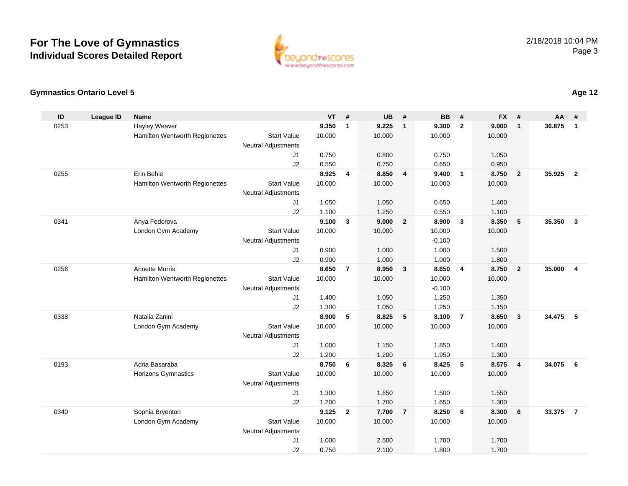

#### **Gymnastics Ontario Level 5**

| ID   | <b>League ID</b> | <b>Name</b>                    |                                              | <b>VT</b> | #              | <b>UB</b> | #                       | <b>BB</b>         | #              | <b>FX</b> | #                       | <b>AA</b> | #              |
|------|------------------|--------------------------------|----------------------------------------------|-----------|----------------|-----------|-------------------------|-------------------|----------------|-----------|-------------------------|-----------|----------------|
| 0253 |                  | Hayley Weaver                  |                                              | 9.350     | $\mathbf{1}$   | 9.225     | $\overline{1}$          | 9.300             | $\overline{2}$ | 9.000     | $\mathbf{1}$            | 36.875    | $\overline{1}$ |
|      |                  | Hamilton Wentworth Regionettes | <b>Start Value</b>                           | 10.000    |                | 10.000    |                         | 10.000            |                | 10.000    |                         |           |                |
|      |                  |                                | Neutral Adjustments                          |           |                |           |                         |                   |                |           |                         |           |                |
|      |                  |                                | J <sub>1</sub>                               | 0.750     |                | 0.800     |                         | 0.750             |                | 1.050     |                         |           |                |
|      |                  |                                | J2                                           | 0.550     |                | 0.750     |                         | 0.650             |                | 0.950     |                         |           |                |
| 0255 |                  | Erin Behie                     |                                              | 8.925     | 4              | 8.850     | $\overline{4}$          | 9.400             | $\overline{1}$ | 8.750     | $\overline{2}$          | 35.925    | $\overline{2}$ |
|      |                  | Hamilton Wentworth Regionettes | <b>Start Value</b>                           | 10.000    |                | 10.000    |                         | 10.000            |                | 10.000    |                         |           |                |
|      |                  |                                | <b>Neutral Adjustments</b>                   |           |                |           |                         |                   |                |           |                         |           |                |
|      |                  |                                | J <sub>1</sub>                               | 1.050     |                | 1.050     |                         | 0.650             |                | 1.400     |                         |           |                |
|      |                  |                                | J2                                           | 1.100     |                | 1.250     |                         | 0.550             |                | 1.100     |                         |           |                |
| 0341 |                  | Anya Fedorova                  |                                              | 9.100     | $\mathbf{3}$   | 9.000     | $\overline{2}$          | 8.900             | $\mathbf{3}$   | 8.350     | 5                       | 35.350    | $\mathbf{3}$   |
|      |                  | London Gym Academy             | <b>Start Value</b>                           | 10.000    |                | 10.000    |                         | 10.000            |                | 10.000    |                         |           |                |
|      |                  |                                | <b>Neutral Adjustments</b><br>J <sub>1</sub> | 0.900     |                | 1.000     |                         | $-0.100$<br>1.000 |                | 1.500     |                         |           |                |
|      |                  |                                | J2                                           | 0.900     |                | 1.000     |                         | 1.000             |                | 1.800     |                         |           |                |
| 0256 |                  | <b>Annette Morris</b>          |                                              | 8.650     | $\overline{7}$ | 8.950     | $\overline{\mathbf{3}}$ | 8.650             | $\overline{4}$ | 8.750     | $\overline{2}$          | 35.000    | $\overline{4}$ |
|      |                  | Hamilton Wentworth Regionettes | <b>Start Value</b>                           | 10.000    |                | 10.000    |                         | 10.000            |                | 10.000    |                         |           |                |
|      |                  |                                | <b>Neutral Adjustments</b>                   |           |                |           |                         | $-0.100$          |                |           |                         |           |                |
|      |                  |                                | J1                                           | 1.400     |                | 1.050     |                         | 1.250             |                | 1.350     |                         |           |                |
|      |                  |                                | J2                                           | 1.300     |                | 1.050     |                         | 1.250             |                | 1.150     |                         |           |                |
| 0338 |                  | Natalia Zanini                 |                                              | 8.900     | 5              | 8.825     | 5                       | 8.100             | $\overline{7}$ | 8.650     | $\mathbf{3}$            | 34.475    | 5              |
|      |                  | London Gym Academy             | <b>Start Value</b>                           | 10.000    |                | 10.000    |                         | 10.000            |                | 10.000    |                         |           |                |
|      |                  |                                | <b>Neutral Adjustments</b>                   |           |                |           |                         |                   |                |           |                         |           |                |
|      |                  |                                | J1                                           | 1.000     |                | 1.150     |                         | 1.850             |                | 1.400     |                         |           |                |
|      |                  |                                | J2                                           | 1.200     |                | 1.200     |                         | 1.950             |                | 1.300     |                         |           |                |
| 0193 |                  | Adria Basaraba                 |                                              | 8.750     | 6              | 8.325     | 6                       | 8.425             | 5              | 8.575     | $\overline{\mathbf{4}}$ | 34.075    | 6              |
|      |                  | <b>Horizons Gymnastics</b>     | <b>Start Value</b>                           | 10.000    |                | 10.000    |                         | 10.000            |                | 10.000    |                         |           |                |
|      |                  |                                | <b>Neutral Adjustments</b>                   |           |                |           |                         |                   |                |           |                         |           |                |
|      |                  |                                | J1                                           | 1.300     |                | 1.650     |                         | 1.500             |                | 1.550     |                         |           |                |
|      |                  |                                | J2                                           | 1.200     |                | 1.700     |                         | 1.650             |                | 1.300     |                         |           |                |
| 0340 |                  | Sophia Bryenton                |                                              | 9.125     | $\overline{2}$ | 7.700     | $\overline{7}$          | 8.250             | 6              | 8.300     | 6                       | 33.375    | $\overline{7}$ |
|      |                  | London Gym Academy             | <b>Start Value</b>                           | 10.000    |                | 10.000    |                         | 10.000            |                | 10.000    |                         |           |                |
|      |                  |                                | Neutral Adjustments                          |           |                |           |                         |                   |                |           |                         |           |                |
|      |                  |                                | J1                                           | 1.000     |                | 2.500     |                         | 1.700             |                | 1.700     |                         |           |                |
|      |                  |                                | J2                                           | 0.750     |                | 2.100     |                         | 1.800             |                | 1.700     |                         |           |                |

### **Age 12**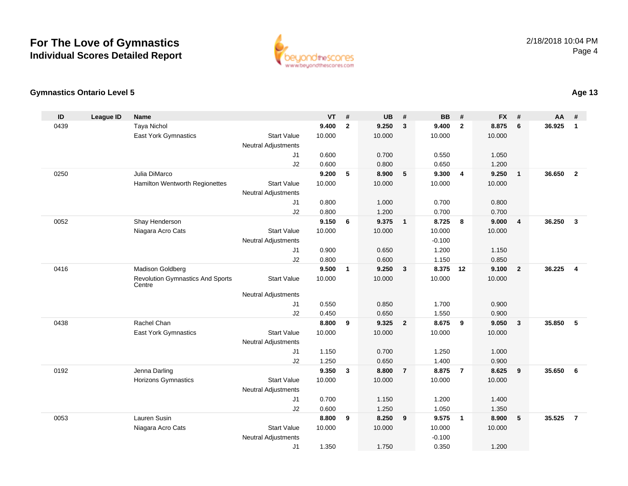

## **Gymnastics Ontario Level 5**

| ID   | <b>League ID</b> | <b>Name</b>                             |                                  | <b>VT</b>      | #              | <b>UB</b>      | #                       | <b>BB</b>         | #              | <b>FX</b>      | #              | AA     | #              |
|------|------------------|-----------------------------------------|----------------------------------|----------------|----------------|----------------|-------------------------|-------------------|----------------|----------------|----------------|--------|----------------|
| 0439 |                  | <b>Taya Nichol</b>                      |                                  | 9.400          | $\overline{2}$ | 9.250          | $\mathbf{3}$            | 9.400             | $\overline{2}$ | 8.875          | 6              | 36.925 | $\mathbf{1}$   |
|      |                  | East York Gymnastics                    | <b>Start Value</b>               | 10.000         |                | 10.000         |                         | 10.000            |                | 10.000         |                |        |                |
|      |                  |                                         | <b>Neutral Adjustments</b>       |                |                |                |                         |                   |                |                |                |        |                |
|      |                  |                                         | J <sub>1</sub>                   | 0.600          |                | 0.700          |                         | 0.550             |                | 1.050          |                |        |                |
|      |                  |                                         | J2                               | 0.600          |                | 0.800          |                         | 0.650             |                | 1.200          |                |        |                |
| 0250 |                  | Julia DiMarco                           |                                  | 9.200          | 5              | 8.900          | 5                       | 9.300             | $\overline{4}$ | 9.250          | $\mathbf{1}$   | 36.650 | $\overline{2}$ |
|      |                  | Hamilton Wentworth Regionettes          | <b>Start Value</b>               | 10.000         |                | 10.000         |                         | 10.000            |                | 10.000         |                |        |                |
|      |                  |                                         | <b>Neutral Adjustments</b>       |                |                |                |                         |                   |                |                |                |        |                |
|      |                  |                                         | J <sub>1</sub>                   | 0.800          |                | 1.000          |                         | 0.700             |                | 0.800          |                |        |                |
|      |                  |                                         | J2                               | 0.800          |                | 1.200          |                         | 0.700             |                | 0.700          |                |        |                |
| 0052 |                  | Shay Henderson                          |                                  | 9.150          | 6              | 9.375          | $\overline{1}$          | 8.725             | 8              | 9.000          | $\overline{4}$ | 36.250 | $\mathbf{3}$   |
|      |                  | Niagara Acro Cats                       | <b>Start Value</b>               | 10.000         |                | 10.000         |                         | 10.000            |                | 10.000         |                |        |                |
|      |                  |                                         | <b>Neutral Adjustments</b><br>J1 | 0.900          |                | 0.650          |                         | $-0.100$<br>1.200 |                | 1.150          |                |        |                |
|      |                  |                                         | J2                               | 0.800          |                | 0.600          |                         | 1.150             |                | 0.850          |                |        |                |
| 0416 |                  | Madison Goldberg                        |                                  | 9.500          | $\mathbf{1}$   | 9.250          | $\overline{\mathbf{3}}$ | 8.375             | 12             | 9.100          | $\overline{2}$ | 36.225 | $\overline{4}$ |
|      |                  | <b>Revolution Gymnastics And Sports</b> | <b>Start Value</b>               | 10.000         |                | 10.000         |                         | 10.000            |                | 10.000         |                |        |                |
|      |                  | Centre                                  |                                  |                |                |                |                         |                   |                |                |                |        |                |
|      |                  |                                         | <b>Neutral Adjustments</b>       |                |                |                |                         |                   |                |                |                |        |                |
|      |                  |                                         | J <sub>1</sub>                   | 0.550          |                | 0.850          |                         | 1.700             |                | 0.900          |                |        |                |
|      |                  |                                         | J2                               | 0.450          |                | 0.650          |                         | 1.550             |                | 0.900          |                |        |                |
| 0438 |                  | Rachel Chan                             |                                  | 8.800          | 9              | 9.325          | $\overline{\mathbf{2}}$ | 8.675             | 9              | 9.050          | $\mathbf{3}$   | 35.850 | 5              |
|      |                  | <b>East York Gymnastics</b>             | <b>Start Value</b>               | 10.000         |                | 10.000         |                         | 10.000            |                | 10.000         |                |        |                |
|      |                  |                                         | <b>Neutral Adjustments</b>       |                |                |                |                         |                   |                |                |                |        |                |
|      |                  |                                         | J1                               | 1.150          |                | 0.700          |                         | 1.250             |                | 1.000          |                |        |                |
|      |                  |                                         | J2                               | 1.250          |                | 0.650          |                         | 1.400             |                | 0.900          |                |        |                |
| 0192 |                  | Jenna Darling                           |                                  | 9.350          | $\mathbf{3}$   | 8.800          | $\overline{7}$          | 8.875             | $\overline{7}$ | 8.625          | 9              | 35.650 | 6              |
|      |                  | <b>Horizons Gymnastics</b>              | <b>Start Value</b>               | 10.000         |                | 10.000         |                         | 10.000            |                | 10.000         |                |        |                |
|      |                  |                                         | <b>Neutral Adjustments</b>       |                |                |                |                         |                   |                |                |                |        |                |
|      |                  |                                         | J1                               | 0.700          |                | 1.150          |                         | 1.200             |                | 1.400          |                |        |                |
| 0053 |                  | Lauren Susin                            | J2                               | 0.600<br>8.800 | 9              | 1.250<br>8.250 | $\overline{\mathbf{9}}$ | 1.050<br>9.575    | $\overline{1}$ | 1.350<br>8.900 | 5              | 35.525 | $\overline{7}$ |
|      |                  | Niagara Acro Cats                       | <b>Start Value</b>               | 10.000         |                | 10.000         |                         | 10.000            |                | 10.000         |                |        |                |
|      |                  |                                         | <b>Neutral Adjustments</b>       |                |                |                |                         | $-0.100$          |                |                |                |        |                |
|      |                  |                                         | J <sub>1</sub>                   | 1.350          |                | 1.750          |                         | 0.350             |                | 1.200          |                |        |                |
|      |                  |                                         |                                  |                |                |                |                         |                   |                |                |                |        |                |

## **Age 13**